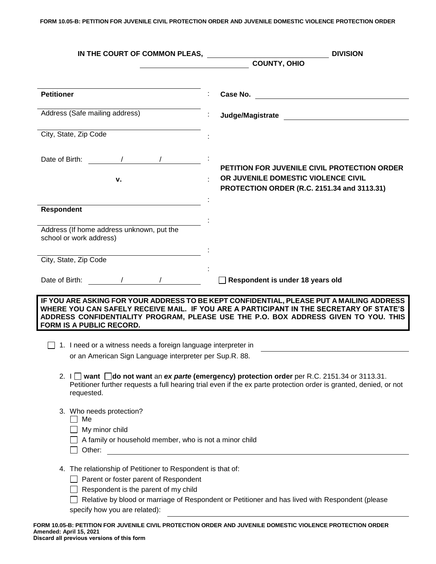**FORM 10.05-B: PETITION FOR JUVENILE CIVIL PROTECTION ORDER AND JUVENILE DOMESTIC VIOLENCE PROTECTION ORDER**

| IN THE COURT OF COMMON PLEAS,                                                                                                                                                                                                                                                                                                                                                                                                                                                                                       | <b>DIVISION</b>                                                                                                                                                                                                                                                            |
|---------------------------------------------------------------------------------------------------------------------------------------------------------------------------------------------------------------------------------------------------------------------------------------------------------------------------------------------------------------------------------------------------------------------------------------------------------------------------------------------------------------------|----------------------------------------------------------------------------------------------------------------------------------------------------------------------------------------------------------------------------------------------------------------------------|
|                                                                                                                                                                                                                                                                                                                                                                                                                                                                                                                     | <b>COUNTY, OHIO</b>                                                                                                                                                                                                                                                        |
|                                                                                                                                                                                                                                                                                                                                                                                                                                                                                                                     |                                                                                                                                                                                                                                                                            |
| <b>Petitioner</b>                                                                                                                                                                                                                                                                                                                                                                                                                                                                                                   | Case No.                                                                                                                                                                                                                                                                   |
| Address (Safe mailing address)                                                                                                                                                                                                                                                                                                                                                                                                                                                                                      | Judge/Magistrate and the state of the state of the state of the state of the state of the state of the state o                                                                                                                                                             |
| City, State, Zip Code                                                                                                                                                                                                                                                                                                                                                                                                                                                                                               |                                                                                                                                                                                                                                                                            |
| Date of Birth:                                                                                                                                                                                                                                                                                                                                                                                                                                                                                                      |                                                                                                                                                                                                                                                                            |
| ν.                                                                                                                                                                                                                                                                                                                                                                                                                                                                                                                  | <b>PETITION FOR JUVENILE CIVIL PROTECTION ORDER</b><br>OR JUVENILE DOMESTIC VIOLENCE CIVIL<br>PROTECTION ORDER (R.C. 2151.34 and 3113.31)                                                                                                                                  |
| <b>Respondent</b>                                                                                                                                                                                                                                                                                                                                                                                                                                                                                                   |                                                                                                                                                                                                                                                                            |
| Address (If home address unknown, put the<br>school or work address)                                                                                                                                                                                                                                                                                                                                                                                                                                                |                                                                                                                                                                                                                                                                            |
| City, State, Zip Code                                                                                                                                                                                                                                                                                                                                                                                                                                                                                               |                                                                                                                                                                                                                                                                            |
|                                                                                                                                                                                                                                                                                                                                                                                                                                                                                                                     |                                                                                                                                                                                                                                                                            |
| Date of Birth:                                                                                                                                                                                                                                                                                                                                                                                                                                                                                                      | Respondent is under 18 years old                                                                                                                                                                                                                                           |
| FORM IS A PUBLIC RECORD.                                                                                                                                                                                                                                                                                                                                                                                                                                                                                            | IF YOU ARE ASKING FOR YOUR ADDRESS TO BE KEPT CONFIDENTIAL, PLEASE PUT A MAILING ADDRESS<br>WHERE YOU CAN SAFELY RECEIVE MAIL. IF YOU ARE A PARTICIPANT IN THE SECRETARY OF STATE'S<br>ADDRESS CONFIDENTIALITY PROGRAM, PLEASE USE THE P.O. BOX ADDRESS GIVEN TO YOU. THIS |
| 1. I need or a witness needs a foreign language interpreter in                                                                                                                                                                                                                                                                                                                                                                                                                                                      |                                                                                                                                                                                                                                                                            |
| or an American Sign Language interpreter per Sup.R. 88.                                                                                                                                                                                                                                                                                                                                                                                                                                                             |                                                                                                                                                                                                                                                                            |
| requested.                                                                                                                                                                                                                                                                                                                                                                                                                                                                                                          | 2. $I \Box$ want $\Box$ do not want an ex parte (emergency) protection order per R.C. 2151.34 or 3113.31.<br>Petitioner further requests a full hearing trial even if the ex parte protection order is granted, denied, or not                                             |
| 3. Who needs protection?<br>Me<br>My minor child<br>A family or household member, who is not a minor child                                                                                                                                                                                                                                                                                                                                                                                                          |                                                                                                                                                                                                                                                                            |
| 4. The relationship of Petitioner to Respondent is that of:<br>Parent or foster parent of Respondent<br>Respondent is the parent of my child<br>specify how you are related):<br>$\mathbf{r}$ $\mathbf{r}$ $\mathbf{r}$ $\mathbf{r}$ $\mathbf{r}$ $\mathbf{r}$ $\mathbf{r}$ $\mathbf{r}$ $\mathbf{r}$ $\mathbf{r}$ $\mathbf{r}$ $\mathbf{r}$ $\mathbf{r}$ $\mathbf{r}$ $\mathbf{r}$ $\mathbf{r}$ $\mathbf{r}$ $\mathbf{r}$ $\mathbf{r}$ $\mathbf{r}$ $\mathbf{r}$ $\mathbf{r}$ $\mathbf{r}$ $\mathbf{r}$ $\mathbf{$ | Relative by blood or marriage of Respondent or Petitioner and has lived with Respondent (please                                                                                                                                                                            |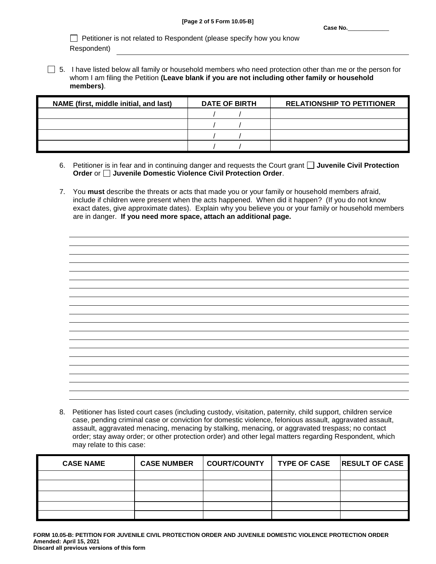$\Box$  Petitioner is not related to Respondent (please specify how you know Respondent)

 $\Box$  5. I have listed below all family or household members who need protection other than me or the person for whom I am filing the Petition **(Leave blank if you are not including other family or household members)**.

| NAME (first, middle initial, and last) | <b>DATE OF BIRTH</b> | <b>RELATIONSHIP TO PETITIONER</b> |
|----------------------------------------|----------------------|-----------------------------------|
|                                        |                      |                                   |
|                                        |                      |                                   |
|                                        |                      |                                   |
|                                        |                      |                                   |

- 6. Petitioner is in fear and in continuing danger and requests the Court grant **Juvenile Civil Protection Order** or **Juvenile Domestic Violence Civil Protection Order**.
- 7. You **must** describe the threats or acts that made you or your family or household members afraid, include if children were present when the acts happened. When did it happen? (If you do not know exact dates, give approximate dates). Explain why you believe you or your family or household members are in danger. **If you need more space, attach an additional page.**

|                                                                                 | $\sim$                                                                          |
|---------------------------------------------------------------------------------|---------------------------------------------------------------------------------|
|                                                                                 |                                                                                 |
|                                                                                 |                                                                                 |
|                                                                                 |                                                                                 |
| the contract of the contract of the contract of the contract of the contract of | the contract of the contract of the contract of the contract of the contract of |
|                                                                                 |                                                                                 |
|                                                                                 |                                                                                 |
|                                                                                 |                                                                                 |
|                                                                                 | the contract of the contract of the contract of the contract of the contract of |
|                                                                                 |                                                                                 |
|                                                                                 |                                                                                 |
|                                                                                 |                                                                                 |
|                                                                                 | the control of the control of the control of                                    |
|                                                                                 |                                                                                 |
|                                                                                 |                                                                                 |
|                                                                                 |                                                                                 |
|                                                                                 | the contract of the contract of the contract of the contract of the contract of |
|                                                                                 |                                                                                 |
|                                                                                 |                                                                                 |
|                                                                                 |                                                                                 |
|                                                                                 | the contract of the contract of the contract of                                 |
|                                                                                 |                                                                                 |
|                                                                                 |                                                                                 |
|                                                                                 |                                                                                 |
|                                                                                 | the contract of the contract of the contract of the contract of the contract of |
|                                                                                 |                                                                                 |
|                                                                                 |                                                                                 |
|                                                                                 |                                                                                 |
|                                                                                 | the contract of the contract of the                                             |
|                                                                                 |                                                                                 |
|                                                                                 |                                                                                 |
|                                                                                 |                                                                                 |
|                                                                                 | the contract of the contract of the contract of                                 |
|                                                                                 |                                                                                 |
|                                                                                 |                                                                                 |
|                                                                                 |                                                                                 |
|                                                                                 | the contract of the contract of the contract of the contract of the contract of |
|                                                                                 |                                                                                 |
|                                                                                 |                                                                                 |
|                                                                                 |                                                                                 |
|                                                                                 | and the control of the control of                                               |
|                                                                                 |                                                                                 |
|                                                                                 |                                                                                 |
|                                                                                 |                                                                                 |
|                                                                                 |                                                                                 |

8. Petitioner has listed court cases (including custody, visitation, paternity, child support, children service case, pending criminal case or conviction for domestic violence, felonious assault, aggravated assault, assault, aggravated menacing, menacing by stalking, menacing, or aggravated trespass; no contact order; stay away order; or other protection order) and other legal matters regarding Respondent, which may relate to this case:

| <b>CASE NAME</b> | <b>CASE NUMBER</b> | COURT/COUNTY   TYPE OF CASE   RESULT OF CASE |  |
|------------------|--------------------|----------------------------------------------|--|
|                  |                    |                                              |  |
|                  |                    |                                              |  |
|                  |                    |                                              |  |
|                  |                    |                                              |  |
|                  |                    |                                              |  |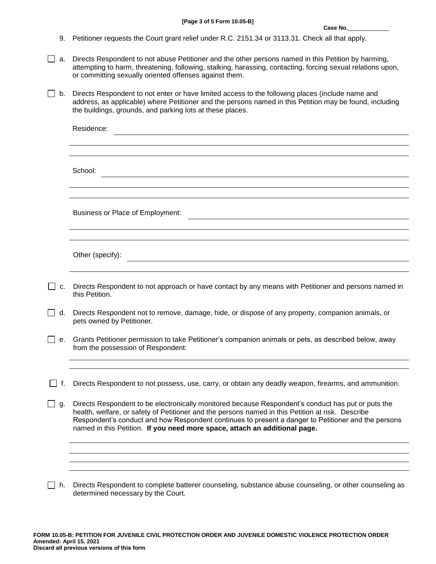- 9. Petitioner requests the Court grant relief under R.C. 2151.34 or 3113.31. Check all that apply.
- $\Box$  a. Directs Respondent to not abuse Petitioner and the other persons named in this Petition by harming, attempting to harm, threatening, following, stalking, harassing, contacting, forcing sexual relations upon, or committing sexually oriented offenses against them.
- □ b. Directs Respondent to not enter or have limited access to the following places (include name and address, as applicable) where Petitioner and the persons named in this Petition may be found, including the buildings, grounds, and parking lots at these places.

|     | Residence:                                                                                                                                                                                                                                                                                                                                                                                   |
|-----|----------------------------------------------------------------------------------------------------------------------------------------------------------------------------------------------------------------------------------------------------------------------------------------------------------------------------------------------------------------------------------------------|
|     |                                                                                                                                                                                                                                                                                                                                                                                              |
|     | School:                                                                                                                                                                                                                                                                                                                                                                                      |
|     |                                                                                                                                                                                                                                                                                                                                                                                              |
|     | Business or Place of Employment:                                                                                                                                                                                                                                                                                                                                                             |
|     |                                                                                                                                                                                                                                                                                                                                                                                              |
|     | Other (specify):                                                                                                                                                                                                                                                                                                                                                                             |
| C.  | Directs Respondent to not approach or have contact by any means with Petitioner and persons named in<br>this Petition.                                                                                                                                                                                                                                                                       |
| d.  | Directs Respondent not to remove, damage, hide, or dispose of any property, companion animals, or<br>pets owned by Petitioner.                                                                                                                                                                                                                                                               |
| е.  | Grants Petitioner permission to take Petitioner's companion animals or pets, as described below, away<br>from the possession of Respondent:                                                                                                                                                                                                                                                  |
|     |                                                                                                                                                                                                                                                                                                                                                                                              |
| lf. | Directs Respondent to not possess, use, carry, or obtain any deadly weapon, firearms, and ammunition.                                                                                                                                                                                                                                                                                        |
| g.  | Directs Respondent to be electronically monitored because Respondent's conduct has put or puts the<br>health, welfare, or safety of Petitioner and the persons named in this Petition at risk. Describe<br>Respondent's conduct and how Respondent continues to present a danger to Petitioner and the persons<br>named in this Petition. If you need more space, attach an additional page. |
|     |                                                                                                                                                                                                                                                                                                                                                                                              |
|     |                                                                                                                                                                                                                                                                                                                                                                                              |
| h.  | Directs Respondent to complete batterer counseling, substance abuse counseling, or other counseling as                                                                                                                                                                                                                                                                                       |

**FORM 10.05-B: PETITION FOR JUVENILE CIVIL PROTECTION ORDER AND JUVENILE DOMESTIC VIOLENCE PROTECTION ORDER Amended: April 15, 2021 Discard all previous versions of this form**

determined necessary by the Court.

 $\Box$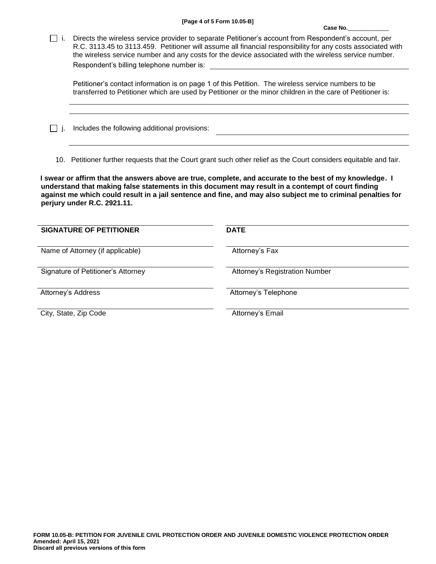Case No.

i. Directs the wireless service provider to separate Petitioner's account from Respondent's account, per R.C. 3113.45 to 3113.459. Petitioner will assume all financial responsibility for any costs associated with the wireless service number and any costs for the device associated with the wireless service number. Respondent's billing telephone number is:

Petitioner's contact information is on page 1 of this Petition. The wireless service numbers to be transferred to Petitioner which are used by Petitioner or the minor children in the care of Petitioner is:

 $\Box$  *j.* Includes the following additional provisions:

10. Petitioner further requests that the Court grant such other relief as the Court considers equitable and fair.

**I swear or affirm that the answers above are true, complete, and accurate to the best of my knowledge. I understand that making false statements in this document may result in a contempt of court finding against me which could result in a jail sentence and fine, and may also subject me to criminal penalties for perjury under R.C. 2921.11.**

| <b>SIGNATURE OF PETITIONER</b>     | <b>DATE</b>                    |
|------------------------------------|--------------------------------|
| Name of Attorney (if applicable)   | Attorney's Fax                 |
| Signature of Petitioner's Attorney | Attorney's Registration Number |
| Attorney's Address                 | Attorney's Telephone           |
| City, State, Zip Code              | Attorney's Email               |